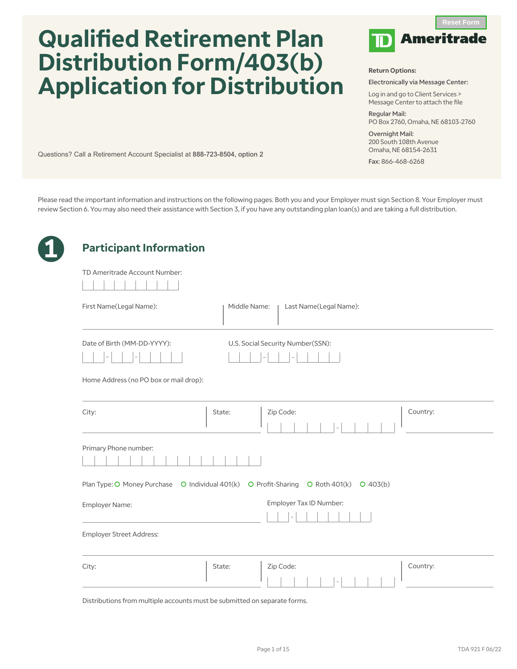# **Qualified Retirement Plan Distribution Form/403(b) Application for Distribution**

Questions? Call a Retirement Account Specialist at 888-723-8504, option 2



#### **Return Options:**

Electronically via Message Center:

Log in and go to Client Services > Message Center to attach the file

Regular Mail: PO Box 2760, Omaha, NE 68103-2760

Overnight Mail: 200 South 108th Avenue Omaha, NE 68154-2631

Fax: 866-468-6268

Please read the important information and instructions on the following pages. Both you and your Employer must sign Section 8. Your Employer must review Section 6. You may also need their assistance with Section 3, if you have any outstanding plan loan(s) and are taking a full distribution.

| TD Ameritrade Account Number:                              |                                                                                         |
|------------------------------------------------------------|-----------------------------------------------------------------------------------------|
| First Name(Legal Name):                                    | Middle Name:<br>Last Name(Legal Name):                                                  |
| Date of Birth (MM-DD-YYYY):                                | U.S. Social Security Number(SSN):                                                       |
| Home Address (no PO box or mail drop):                     |                                                                                         |
|                                                            |                                                                                         |
|                                                            | Zip Code:<br>Country:<br>State:                                                         |
| Primary Phone number:                                      |                                                                                         |
|                                                            | Plan Type: O Money Purchase O Individual 401(k) O Profit-Sharing O Roth 401(k) O 403(b) |
|                                                            | Employer Tax ID Number:                                                                 |
| City:<br>Employer Name:<br><b>Employer Street Address:</b> |                                                                                         |

Distributions from multiple accounts must be submitted on separate forms.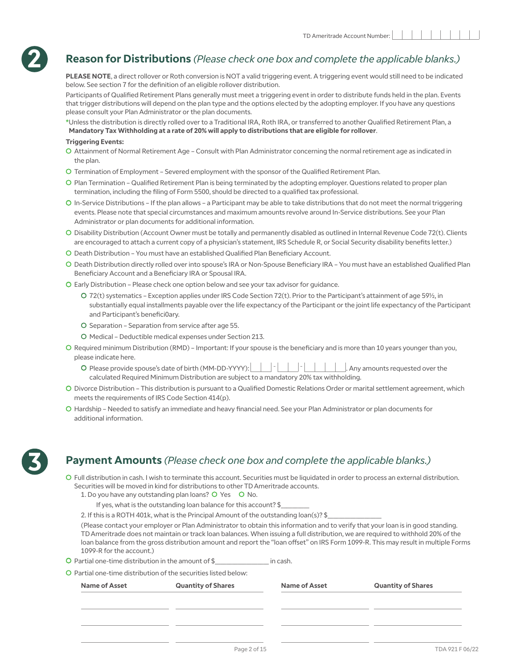

## **Reason for Distributions** *(Please check one box and complete the applicable blanks.)*

**PLEASE NOTE**, a direct rollover or Roth conversion is NOT a valid triggering event. A triggering event would still need to be indicated below. See section 7 for the definition of an eligible rollover distribution.

Participants of Qualified Retirement Plans generally must meet a triggering event in order to distribute funds held in the plan. Events that trigger distributions will depend on the plan type and the options elected by the adopting employer. If you have any questions please consult your Plan Administrator or the plan documents.

**\***Unless the distribution is directly rolled over to a Traditional IRA, Roth IRA, or transferred to another Qualified Retirement Plan, a **Mandatory Tax Withholding at a rate of 20% will apply to distributions that are eligible for rollover**.

#### **Triggering Events:**

- C Attainment of Normal Retirement Age Consult with Plan Administrator concerning the normal retirement age as indicated in the plan.
- C Termination of Employment Severed employment with the sponsor of the Qualified Retirement Plan.
- C Plan Termination Qualified Retirement Plan is being terminated by the adopting employer. Questions related to proper plan termination, including the filing of Form 5500, should be directed to a qualified tax professional.
- C In-Service Distributions If the plan allows a Participant may be able to take distributions that do not meet the normal triggering events. Please note that special circumstances and maximum amounts revolve around In-Service distributions. See your Plan Administrator or plan documents for additional information.
- C Disability Distribution (Account Owner must be totally and permanently disabled as outlined in Internal Revenue Code 72(t). Clients are encouraged to attach a current copy of a physician's statement, IRS Schedule R, or Social Security disability benefits letter.)
- C Death Distribution You must have an established Qualified Plan Beneficiary Account.
- C Death Distribution directly rolled over into spouse's IRA or Non-Spouse Beneficiary IRA You must have an established Qualified Plan Beneficiary Account and a Beneficiary IRA or Spousal IRA.
- C Early Distribution Please check one option below and see your tax advisor for guidance.
	- C 72(t) systematics Exception applies under IRS Code Section 72(t). Prior to the Participant's attainment of age 59½, in substantially equal installments payable over the life expectancy of the Participant or the joint life expectancy of the Participant and Participant's benefici0ary.
	- C Separation Separation from service after age 55.
	- C Medical Deductible medical expenses under Section 213.
- C Required minimum Distribution (RMD) Important: If your spouse is the beneficiary and is more than 10 years younger than you, please indicate here.
	- C Please provide spouse's date of birth (MM-DD-YYYY): . Any amounts requested over the calculated Required Minimum Distribution are subject to a mandatory 20% tax withholding.
- C Divorce Distribution This distribution is pursuant to a Qualified Domestic Relations Order or marital settlement agreement, which meets the requirements of IRS Code Section 414(p).
- C Hardship Needed to satisfy an immediate and heavy financial need. See your Plan Administrator or plan documents for additional information.



## **Payment Amounts** *(Please check one box and complete the applicable blanks.)*

C Full distribution in cash. I wish to terminate this account. Securities must be liquidated in order to process an external distribution. Securities will be moved in kind for distributions to other TD Ameritrade accounts.

- 1. Do you have any outstanding plan loans? O Yes O No.
	- If yes, what is the outstanding loan balance for this account? \$
- 2. If this is a ROTH 401k, what is the Principal Amount of the outstanding loan(s)? \$

(Please contact your employer or Plan Administrator to obtain this information and to verify that your loan is in good standing. TD Ameritrade does not maintain or track loan balances. When issuing a full distribution, we are required to withhold 20% of the loan balance from the gross distribution amount and report the "loan offset" on IRS Form 1099-R. This may result in multiple Forms 1099-R for the account.)

C Partial one-time distribution in the amount of \$\_\_\_\_\_\_\_\_\_\_\_\_\_\_\_\_\_\_\_ in cash.

C Partial one-time distribution of the securities listed below:

| <b>Name of Asset</b> | <b>Quantity of Shares</b> | <b>Name of Asset</b> | <b>Quantity of Shares</b> |  |  |  |  |
|----------------------|---------------------------|----------------------|---------------------------|--|--|--|--|
|                      |                           |                      |                           |  |  |  |  |
|                      |                           |                      |                           |  |  |  |  |
|                      |                           |                      |                           |  |  |  |  |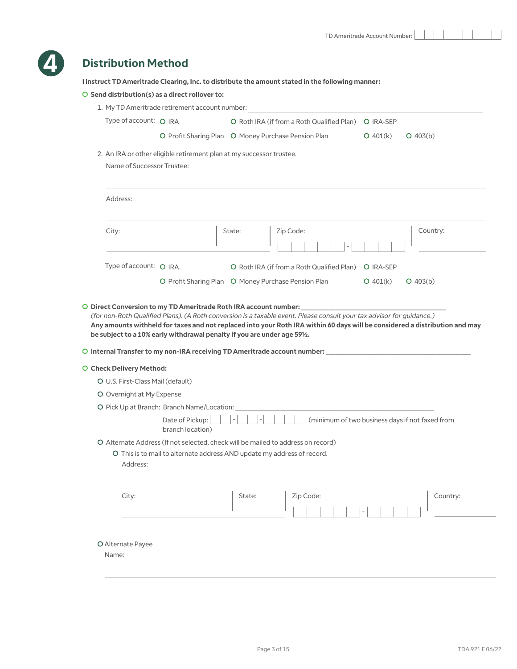

## **Distribution Method**

**I instruct TD Ameritrade Clearing, Inc. to distribute the amount stated in the following manner:**

|                                   | O Send distribution(s) as a direct rollover to:                                                                                              |        |                                                                                                                                                                                                                                                      |                  |                                                 |
|-----------------------------------|----------------------------------------------------------------------------------------------------------------------------------------------|--------|------------------------------------------------------------------------------------------------------------------------------------------------------------------------------------------------------------------------------------------------------|------------------|-------------------------------------------------|
|                                   | 1. My TD Ameritrade retirement account number:                                                                                               |        |                                                                                                                                                                                                                                                      |                  |                                                 |
| Type of account: O IRA            |                                                                                                                                              |        | O Roth IRA (if from a Roth Qualified Plan)                                                                                                                                                                                                           | O IRA-SEP        |                                                 |
|                                   | O Profit Sharing Plan O Money Purchase Pension Plan                                                                                          |        |                                                                                                                                                                                                                                                      | $O$ 401(k)       | $O$ 403(b)                                      |
|                                   | 2. An IRA or other eligible retirement plan at my successor trustee.                                                                         |        |                                                                                                                                                                                                                                                      |                  |                                                 |
| Name of Successor Trustee:        |                                                                                                                                              |        |                                                                                                                                                                                                                                                      |                  |                                                 |
|                                   |                                                                                                                                              |        |                                                                                                                                                                                                                                                      |                  |                                                 |
| Address:                          |                                                                                                                                              |        |                                                                                                                                                                                                                                                      |                  |                                                 |
|                                   |                                                                                                                                              |        |                                                                                                                                                                                                                                                      |                  |                                                 |
| City:                             |                                                                                                                                              | State: | Zip Code:                                                                                                                                                                                                                                            |                  | Country:                                        |
|                                   |                                                                                                                                              |        |                                                                                                                                                                                                                                                      |                  |                                                 |
| Type of account: O IRA            |                                                                                                                                              |        | O Roth IRA (if from a Roth Qualified Plan)                                                                                                                                                                                                           | <b>O</b> IRA-SEP |                                                 |
|                                   | O Profit Sharing Plan O Money Purchase Pension Plan                                                                                          |        |                                                                                                                                                                                                                                                      | $O$ 401(k)       | $O$ 403(b)                                      |
|                                   | O Direct Conversion to my TD Ameritrade Roth IRA account number:<br>be subject to a 10% early withdrawal penalty if you are under age 591/2. |        | (for non-Roth Qualified Plans). (A Roth conversion is a taxable event. Please consult your tax advisor for guidance.)<br>Any amounts withheld for taxes and not replaced into your Roth IRA within 60 days will be considered a distribution and may |                  |                                                 |
| O Check Delivery Method:          |                                                                                                                                              |        |                                                                                                                                                                                                                                                      |                  |                                                 |
| O U.S. First-Class Mail (default) |                                                                                                                                              |        |                                                                                                                                                                                                                                                      |                  |                                                 |
| O Overnight at My Expense         |                                                                                                                                              |        |                                                                                                                                                                                                                                                      |                  |                                                 |
|                                   | O Pick Up at Branch: Branch Name/Location:                                                                                                   |        |                                                                                                                                                                                                                                                      |                  |                                                 |
|                                   | Date of Pickup:<br>branch location)                                                                                                          |        |                                                                                                                                                                                                                                                      |                  | (minimum of two business days if not faxed from |
|                                   | O Alternate Address (If not selected, check will be mailed to address on record)                                                             |        |                                                                                                                                                                                                                                                      |                  |                                                 |

C This is to mail to alternate address AND update my address of record. Address:

| City: | State: | Zip Code:                | Country: |
|-------|--------|--------------------------|----------|
|       |        | $\overline{\phantom{a}}$ |          |

C Alternate Payee

Name: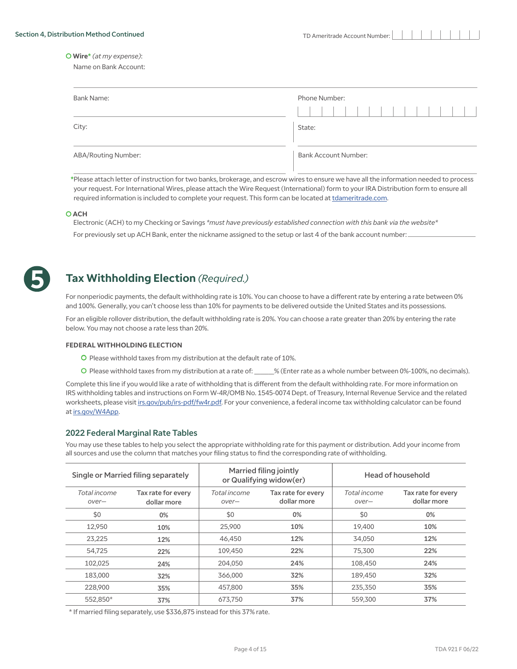C **Wire\*** *(at my expense)*:

Name on Bank Account:

| <b>Bank Name:</b>          | Phone Number:<br>$\sim$ 1 $\sim$ 1 |
|----------------------------|------------------------------------|
| City:                      | State:                             |
| <b>ABA/Routing Number:</b> | <b>Bank Account Number:</b>        |

**\***Please attach letter of instruction for two banks, brokerage, and escrow wires to ensure we have all the information needed to process your request. For International Wires, please attach the Wire Request (International) form to your IRA Distribution form to ensure all required information is included to complete your request. This form can be located at [tdameritrade.com.](tdameritrade.com)

#### C **ACH**

Electronic (ACH) to my Checking or Savings *\*must have previously established connection with this bank via the website\** For previously set up ACH Bank, enter the nickname assigned to the setup or last 4 of the bank account number:



## **Tax Withholding Election** *(Required.)*

For nonperiodic payments, the default withholding rate is 10%. You can choose to have a different rate by entering a rate between 0% and 100%. Generally, you can't choose less than 10% for payments to be delivered outside the United States and its possessions.

For an eligible rollover distribution, the default withholding rate is 20%. You can choose a rate greater than 20% by entering the rate below. You may not choose a rate less than 20%.

#### **FEDERAL WITHHOLDING ELECTION**

- C Please withhold taxes from my distribution at the default rate of 10%.
- C Please withhold taxes from my distribution at a rate of: \_\_\_\_\_\_\_% (Enter rate as a whole number between 0%-100%, no decimals).

Complete this line if you would like a rate of withholding that is different from the default withholding rate. For more information on IRS withholding tables and instructions on Form W-4R/OMB No. 1545-0074 Dept. of Treasury, Internal Revenue Service and the related worksheets, please visit [irs.gov/pub/irs-pdf/fw4r.pdf.](irs.gov/pub/irs-pdf/fw4r.pdf) For your convenience, a federal income tax withholding calculator can be found at <irs.gov/W4App>.

#### 2022 Federal Marginal Rate Tables

You may use these tables to help you select the appropriate withholding rate for this payment or distribution. Add your income from all sources and use the column that matches your filing status to find the corresponding rate of withholding.

|                       | Single or Married filing separately |                                                            | Married filing jointly<br>or Qualifying widow(er) | Head of household     |                                   |  |
|-----------------------|-------------------------------------|------------------------------------------------------------|---------------------------------------------------|-----------------------|-----------------------------------|--|
| Total income<br>over- | Tax rate for every<br>dollar more   | Total income<br>Tax rate for every<br>dollar more<br>over- |                                                   | Total income<br>over- | Tax rate for every<br>dollar more |  |
| \$0                   | 0%                                  | \$0<br>0%                                                  |                                                   | \$0                   | 0%                                |  |
| 12,950                | 25,900<br>10%                       |                                                            | 10%                                               | 19,400                | 10%                               |  |
| 23,225                | 46,450<br>12%                       |                                                            | 12%<br>34,050                                     |                       | 12%                               |  |
| 54,725<br>22%         |                                     | 109,450                                                    | 22%                                               | 75,300                | 22%                               |  |
| 102,025               | 24%                                 | 204,050                                                    | 24%                                               | 108,450               | 24%                               |  |
| 183,000               | 32%                                 | 366,000                                                    | 32%                                               | 189,450               | 32%                               |  |
| 228,900               | 35%                                 | 457,800                                                    | 35%                                               | 235,350               | 35%                               |  |
| 552.850*              | 37%                                 | 673.750                                                    | 37%                                               | 559,300               | 37%                               |  |

\* If married filing separately, use \$336,875 instead for this 37% rate.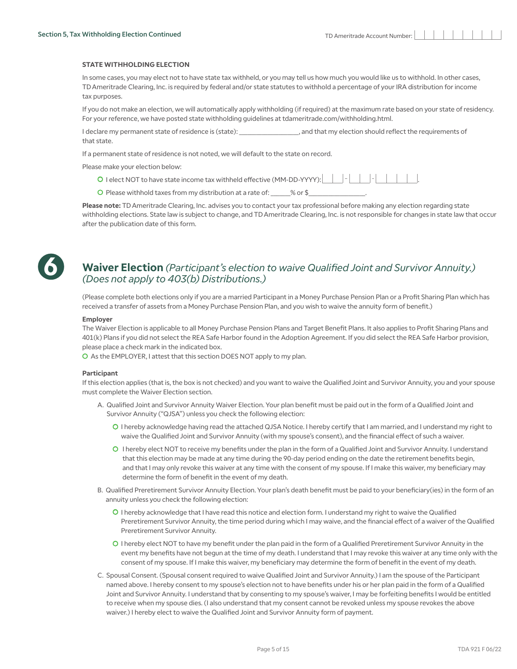#### **STATE WITHHOLDING ELECTION**

In some cases, you may elect not to have state tax withheld, or you may tell us how much you would like us to withhold. In other cases, TD Ameritrade Clearing, Inc. is required by federal and/or state statutes to withhold a percentage of your IRA distribution for income tax purposes.

If you do not make an election, we will automatically apply withholding (if required) at the maximum rate based on your state of residency. For your reference, we have posted state withholding guidelines at tdameritrade.com/withholding.html.

I declare my permanent state of residence is (state):  $\blacksquare$ , and that my election should reflect the requirements of that state.

If a permanent state of residence is not noted, we will default to the state on record.

Please make your election below:

- C I elect NOT to have state income tax withheld effective (MM-DD-YYYY): .
- O Please withhold taxes from my distribution at a rate of:  $\frac{9}{2}$  or \$

**Please note:** TD Ameritrade Clearing, Inc. advises you to contact your tax professional before making any election regarding state withholding elections. State law is subject to change, and TD Ameritrade Clearing, Inc. is not responsible for changes in state law that occur after the publication date of this form.



## **Waiver Election** *(Participant's election to waive Qualified Joint and Survivor Annuity.) (Does not apply to 403(b) Distributions.)*

(Please complete both elections only if you are a married Participant in a Money Purchase Pension Plan or a Profit Sharing Plan which has received a transfer of assets from a Money Purchase Pension Plan, and you wish to waive the annuity form of benefit.)

#### **Employer**

The Waiver Election is applicable to all Money Purchase Pension Plans and Target Benefit Plans. It also applies to Profit Sharing Plans and 401(k) Plans if you did not select the REA Safe Harbor found in the Adoption Agreement. If you did select the REA Safe Harbor provision, please place a check mark in the indicated box.

C As the EMPLOYER, I attest that this section DOES NOT apply to my plan.

#### **Participant**

If this election applies (that is, the box is not checked) and you want to waive the Qualified Joint and Survivor Annuity, you and your spouse must complete the Waiver Election section.

- A. Qualified Joint and Survivor Annuity Waiver Election. Your plan benefit must be paid out in the form of a Qualified Joint and Survivor Annuity ("QJSA") unless you check the following election:
	- C I hereby acknowledge having read the attached QJSA Notice. I hereby certify that I am married, and I understand my right to waive the Qualified Joint and Survivor Annuity (with my spouse's consent), and the financial effect of such a waiver.
	- C I hereby elect NOT to receive my benefits under the plan in the form of a Qualified Joint and Survivor Annuity. I understand that this election may be made at any time during the 90-day period ending on the date the retirement benefits begin, and that I may only revoke this waiver at any time with the consent of my spouse. If I make this waiver, my beneficiary may determine the form of benefit in the event of my death.
- B. Qualified Preretirement Survivor Annuity Election. Your plan's death benefit must be paid to your beneficiary(ies) in the form of an annuity unless you check the following election:
	- C I hereby acknowledge that I have read this notice and election form. I understand my right to waive the Qualified Preretirement Survivor Annuity, the time period during which I may waive, and the financial effect of a waiver of the Qualified Preretirement Survivor Annuity.
	- C I hereby elect NOT to have my benefit under the plan paid in the form of a Qualified Preretirement Survivor Annuity in the event my benefits have not begun at the time of my death. I understand that I may revoke this waiver at any time only with the consent of my spouse. If I make this waiver, my beneficiary may determine the form of benefit in the event of my death.
- C. Spousal Consent. (Spousal consent required to waive Qualified Joint and Survivor Annuity.) I am the spouse of the Participant named above. I hereby consent to my spouse's election not to have benefits under his or her plan paid in the form of a Qualified Joint and Survivor Annuity. I understand that by consenting to my spouse's waiver, I may be forfeiting benefits I would be entitled to receive when my spouse dies. (I also understand that my consent cannot be revoked unless my spouse revokes the above waiver.) I hereby elect to waive the Qualified Joint and Survivor Annuity form of payment.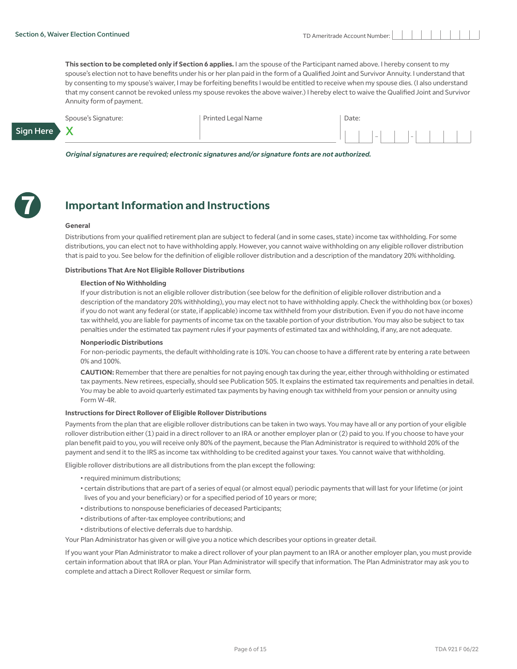X

**This section to be completed only if Section 6 applies.** I am the spouse of the Participant named above. I hereby consent to my spouse's election not to have benefits under his or her plan paid in the form of a Qualified Joint and Survivor Annuity. I understand that by consenting to my spouse's waiver, I may be forfeiting benefits I would be entitled to receive when my spouse dies. (I also understand that my consent cannot be revoked unless my spouse revokes the above waiver.) I hereby elect to waive the Qualified Joint and Survivor Annuity form of payment.

Spouse's Signature: Printed Legal Name

| Date: |                          |  |   |  |  |  |
|-------|--------------------------|--|---|--|--|--|
|       | $\overline{\phantom{a}}$ |  | - |  |  |  |

*Original signatures are required; electronic signatures and/or signature fonts are not authorized.* 



Sign Here

## **Important Information and Instructions**

#### **General**

Distributions from your qualified retirement plan are subject to federal (and in some cases, state) income tax withholding. For some distributions, you can elect not to have withholding apply. However, you cannot waive withholding on any eligible rollover distribution that is paid to you. See below for the definition of eligible rollover distribution and a description of the mandatory 20% withholding.

#### **Distributions That Are Not Eligible Rollover Distributions**

#### **Election of No Withholding**

If your distribution is not an eligible rollover distribution (see below for the definition of eligible rollover distribution and a description of the mandatory 20% withholding), you may elect not to have withholding apply. Check the withholding box (or boxes) if you do not want any federal (or state, if applicable) income tax withheld from your distribution. Even if you do not have income tax withheld, you are liable for payments of income tax on the taxable portion of your distribution. You may also be subject to tax penalties under the estimated tax payment rules if your payments of estimated tax and withholding, if any, are not adequate.

#### **Nonperiodic Distributions**

For non-periodic payments, the default withholding rate is 10%. You can choose to have a different rate by entering a rate between 0% and 100%.

**CAUTION:** Remember that there are penalties for not paying enough tax during the year, either through withholding or estimated tax payments. New retirees, especially, should see Publication 505. It explains the estimated tax requirements and penalties in detail. You may be able to avoid quarterly estimated tax payments by having enough tax withheld from your pension or annuity using Form W-4R.

#### **Instructions for Direct Rollover of Eligible Rollover Distributions**

Payments from the plan that are eligible rollover distributions can be taken in two ways. You may have all or any portion of your eligible rollover distribution either (1) paid in a direct rollover to an IRA or another employer plan or (2) paid to you. If you choose to have your plan benefit paid to you, you will receive only 80% of the payment, because the Plan Administrator is required to withhold 20% of the payment and send it to the IRS as income tax withholding to be credited against your taxes. You cannot waive that withholding.

Eligible rollover distributions are all distributions from the plan except the following:

- required minimum distributions;
- certain distributions that are part of a series of equal (or almost equal) periodic payments that will last for your lifetime (or joint lives of you and your beneficiary) or for a specified period of 10 years or more;
- distributions to nonspouse beneficiaries of deceased Participants;
- distributions of after-tax employee contributions; and
- distributions of elective deferrals due to hardship.

Your Plan Administrator has given or will give you a notice which describes your options in greater detail.

If you want your Plan Administrator to make a direct rollover of your plan payment to an IRA or another employer plan, you must provide certain information about that IRA or plan. Your Plan Administrator will specify that information. The Plan Administrator may ask you to complete and attach a Direct Rollover Request or similar form.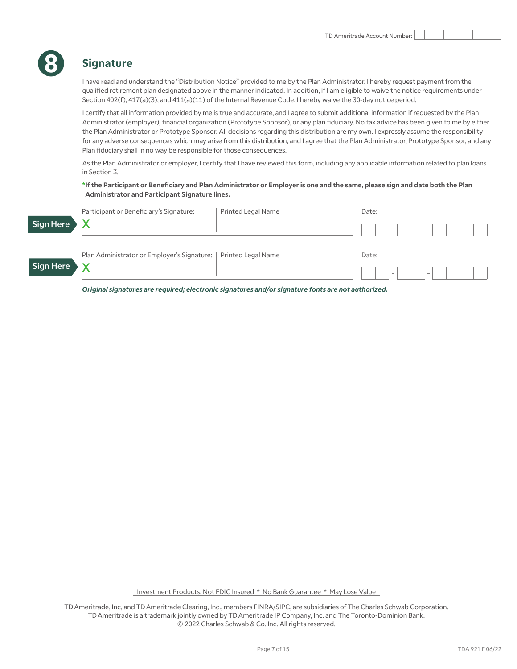## **Signature**

**8**

I have read and understand the "Distribution Notice" provided to me by the Plan Administrator. I hereby request payment from the qualified retirement plan designated above in the manner indicated. In addition, if I am eligible to waive the notice requirements under Section 402(f), 417(a)(3), and 411(a)(11) of the Internal Revenue Code, I hereby waive the 30-day notice period.

I certify that all information provided by me is true and accurate, and I agree to submit additional information if requested by the Plan Administrator (employer), financial organization (Prototype Sponsor), or any plan fiduciary. No tax advice has been given to me by either the Plan Administrator or Prototype Sponsor. All decisions regarding this distribution are my own. I expressly assume the responsibility for any adverse consequences which may arise from this distribution, and I agree that the Plan Administrator, Prototype Sponsor, and any Plan fiduciary shall in no way be responsible for those consequences.

As the Plan Administrator or employer, I certify that I have reviewed this form, including any applicable information related to plan loans in Section 3.

#### **\*If the Participant or Beneficiary and Plan Administrator or Employer is one and the same, please sign and date both the Plan Administrator and Participant Signature lines.**

| Sign Here | Participant or Beneficiary's Signature:     | <b>Printed Legal Name</b> | Date: | $\vert - \vert$ | $\vert - \vert$ |  |  |
|-----------|---------------------------------------------|---------------------------|-------|-----------------|-----------------|--|--|
| Sign Here | Plan Administrator or Employer's Signature: | Printed Legal Name        | Date: | $\  \cdot \ $   | $\vert - \vert$ |  |  |

*Original signatures are required; electronic signatures and/or signature fonts are not authorized.* 

Investment Products: Not FDIC Insured \* No Bank Guarantee \* May Lose Value

TD Ameritrade, Inc, and TD Ameritrade Clearing, Inc., members FINRA/SIPC, are subsidiaries of The Charles Schwab Corporation. TD Ameritrade is a trademark jointly owned by TD Ameritrade IP Company, Inc. and The Toronto-Dominion Bank. © 2022 Charles Schwab & Co. Inc. All rights reserved.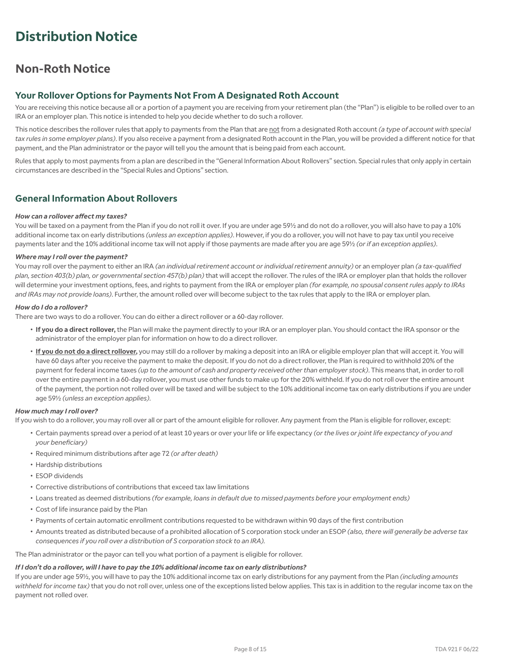## **Distribution Notice**

## **Non-Roth Notice**

## **Your Rollover Options for Payments Not From A Designated Roth Account**

You are receiving this notice because all or a portion of a payment you are receiving from your retirement plan (the "Plan") is eligible to be rolled over to an IRA or an employer plan. This notice is intended to help you decide whether to do such a rollover.

This notice describes the rollover rules that apply to payments from the Plan that are not from a designated Roth account *(a type of account with special tax rules in some employer plans)*. If you also receive a payment from a designated Roth account in the Plan, you will be provided a different notice for that payment, and the Plan administrator or the payor will tell you the amount that is being paid from each account.

Rules that apply to most payments from a plan are described in the "General Information About Rollovers" section. Special rules that only apply in certain circumstances are described in the "Special Rules and Options" section.

#### **General Information About Rollovers**

#### *How can a rollover affect my taxes?*

You will be taxed on a payment from the Plan if you do not roll it over. If you are under age 59½ and do not do a rollover, you will also have to pay a 10% additional income tax on early distributions *(unless an exception applies)*. However, if you do a rollover, you will not have to pay tax until you receive payments later and the 10% additional income tax will not apply if those payments are made after you are age 59½ *(or if an exception applies)*.

#### *Where may I roll over the payment?*

You may roll over the payment to either an IRA *(an individual retirement account or individual retirement annuity)* or an employer plan *(a tax-qualified plan, section 403(b) plan, or governmental section 457(b) plan)* that will accept the rollover. The rules of the IRA or employer plan that holds the rollover will determine your investment options, fees, and rights to payment from the IRA or employer plan *(for example, no spousal consent rules apply to IRAs and IRAs may not provide loans)*. Further, the amount rolled over will become subject to the tax rules that apply to the IRA or employer plan.

#### *How do I do a rollover?*

There are two ways to do a rollover. You can do either a direct rollover or a 60-day rollover.

- **If you do a direct rollover,** the Plan will make the payment directly to your IRA or an employer plan. You should contact the IRA sponsor or the administrator of the employer plan for information on how to do a direct rollover.
- **If you do not do a direct rollover,** you may still do a rollover by making a deposit into an IRA or eligible employer plan that will accept it. You will have 60 days after you receive the payment to make the deposit. If you do not do a direct rollover, the Plan is required to withhold 20% of the payment for federal income taxes *(up to the amount of cash and property received other than employer stock)*. This means that, in order to roll over the entire payment in a 60-day rollover, you must use other funds to make up for the 20% withheld. If you do not roll over the entire amount of the payment, the portion not rolled over will be taxed and will be subject to the 10% additional income tax on early distributions if you are under age 59½ *(unless an exception applies)*.

#### *How much may I roll over?*

If you wish to do a rollover, you may roll over all or part of the amount eligible for rollover. Any payment from the Plan is eligible for rollover, except:

- Certain payments spread over a period of at least 10 years or over your life or life expectancy *(or the lives or joint life expectancy of you and your beneficiary)*
- Required minimum distributions after age 72 *(or after death)*
- Hardship distributions
- ESOP dividends
- Corrective distributions of contributions that exceed tax law limitations
- Loans treated as deemed distributions *(for example, loans in default due to missed payments before your employment ends)*
- Cost of life insurance paid by the Plan
- Payments of certain automatic enrollment contributions requested to be withdrawn within 90 days of the first contribution
- Amounts treated as distributed because of a prohibited allocation of S corporation stock under an ESOP *(also, there will generally be adverse tax consequences if you roll over a distribution of S corporation stock to an IRA).*

The Plan administrator or the payor can tell you what portion of a payment is eligible for rollover.

#### *If I don't do a rollover, will I have to pay the 10% additional income tax on early distributions?*

If you are under age 59½, you will have to pay the 10% additional income tax on early distributions for any payment from the Plan *(including amounts withheld for income tax)* that you do not roll over, unless one of the exceptions listed below applies. This tax is in addition to the regular income tax on the payment not rolled over.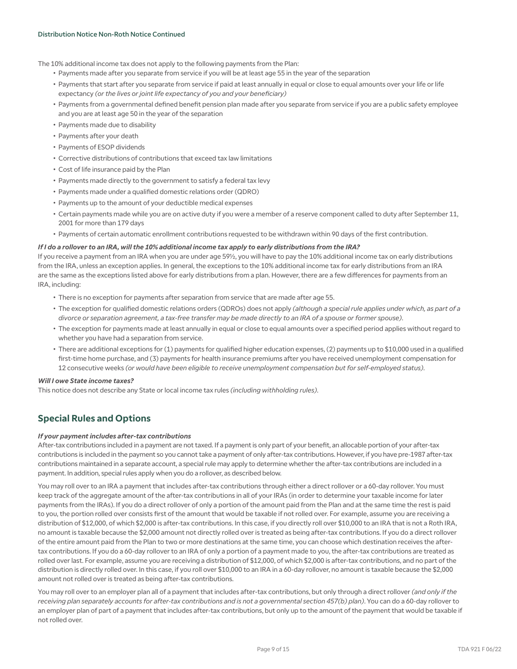The 10% additional income tax does not apply to the following payments from the Plan:

- Payments made after you separate from service if you will be at least age 55 in the year of the separation
- Payments that start after you separate from service if paid at least annually in equal or close to equal amounts over your life or life expectancy *(or the lives or joint life expectancy of you and your beneficiary)*
- Payments from a governmental defined benefit pension plan made after you separate from service if you are a public safety employee and you are at least age 50 in the year of the separation
- Payments made due to disability
- Payments after your death
- Payments of ESOP dividends
- Corrective distributions of contributions that exceed tax law limitations
- Cost of life insurance paid by the Plan
- Payments made directly to the government to satisfy a federal tax levy
- Payments made under a qualified domestic relations order (QDRO)
- Payments up to the amount of your deductible medical expenses
- Certain payments made while you are on active duty if you were a member of a reserve component called to duty after September 11, 2001 for more than 179 days
- Payments of certain automatic enrollment contributions requested to be withdrawn within 90 days of the first contribution.

#### *If I do a rollover to an IRA, will the 10% additional income tax apply to early distributions from the IRA?*

If you receive a payment from an IRA when you are under age 59½, you will have to pay the 10% additional income tax on early distributions from the IRA, unless an exception applies. In general, the exceptions to the 10% additional income tax for early distributions from an IRA are the same as the exceptions listed above for early distributions from a plan. However, there are a few differences for payments from an IRA, including:

- There is no exception for payments after separation from service that are made after age 55.
- The exception for qualified domestic relations orders (QDROs) does not apply *(although a special rule applies under which, as part of a divorce or separation agreement, a tax-free transfer may be made directly to an IRA of a spouse or former spouse)*.
- The exception for payments made at least annually in equal or close to equal amounts over a specified period applies without regard to whether you have had a separation from service.
- There are additional exceptions for (1) payments for qualified higher education expenses, (2) payments up to \$10,000 used in a qualified first-time home purchase, and (3) payments for health insurance premiums after you have received unemployment compensation for 12 consecutive weeks *(or would have been eligible to receive unemployment compensation but for self-employed status)*.

#### *Will I owe State income taxes?*

This notice does not describe any State or local income tax rules *(including withholding rules)*.

## **Special Rules and Options**

#### *If your payment includes after-tax contributions*

After-tax contributions included in a payment are not taxed. If a payment is only part of your benefit, an allocable portion of your after-tax contributions is included in the payment so you cannot take a payment of only after-tax contributions. However, if you have pre-1987 after-tax contributions maintained in a separate account, a special rule may apply to determine whether the after-tax contributions are included in a payment. In addition, special rules apply when you do a rollover, as described below.

You may roll over to an IRA a payment that includes after-tax contributions through either a direct rollover or a 60-day rollover. You must keep track of the aggregate amount of the after-tax contributions in all of your IRAs (in order to determine your taxable income for later payments from the IRAs). If you do a direct rollover of only a portion of the amount paid from the Plan and at the same time the rest is paid to you, the portion rolled over consists first of the amount that would be taxable if not rolled over. For example, assume you are receiving a distribution of \$12,000, of which \$2,000 is after-tax contributions. In this case, if you directly roll over \$10,000 to an IRA that is not a Roth IRA, no amount is taxable because the \$2,000 amount not directly rolled over is treated as being after-tax contributions. If you do a direct rollover of the entire amount paid from the Plan to two or more destinations at the same time, you can choose which destination receives the aftertax contributions. If you do a 60-day rollover to an IRA of only a portion of a payment made to you, the after-tax contributions are treated as rolled over last. For example, assume you are receiving a distribution of \$12,000, of which \$2,000 is after-tax contributions, and no part of the distribution is directly rolled over. In this case, if you roll over \$10,000 to an IRA in a 60-day rollover, no amount is taxable because the \$2,000 amount not rolled over is treated as being after-tax contributions.

You may roll over to an employer plan all of a payment that includes after-tax contributions, but only through a direct rollover *(and only if the receiving plan separately accounts for after-tax contributions and is not a governmental section 457(b) plan)*. You can do a 60-day rollover to an employer plan of part of a payment that includes after-tax contributions, but only up to the amount of the payment that would be taxable if not rolled over.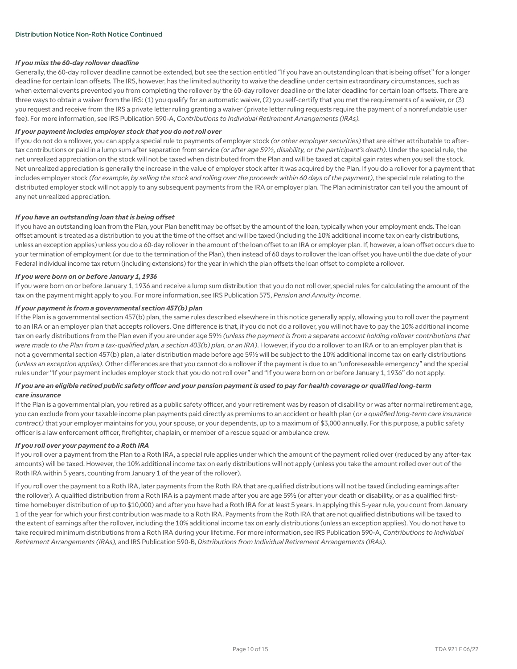#### *If you miss the 60-day rollover deadline*

Generally, the 60-day rollover deadline cannot be extended, but see the section entitled "If you have an outstanding loan that is being offset" for a longer deadline for certain loan offsets. The IRS, however, has the limited authority to waive the deadline under certain extraordinary circumstances, such as when external events prevented you from completing the rollover by the 60-day rollover deadline or the later deadline for certain loan offsets. There are three ways to obtain a waiver from the IRS: (1) you qualify for an automatic waiver, (2) you self-certify that you met the requirements of a waiver, or (3) you request and receive from the IRS a private letter ruling granting a waiver (private letter ruling requests require the payment of a nonrefundable user fee). For more information, see IRS Publication 590-A, *Contributions to Individual Retirement Arrangements (IRAs).*

#### *If your payment includes employer stock that you do not roll over*

If you do not do a rollover, you can apply a special rule to payments of employer stock *(or other employer securities)* that are either attributable to aftertax contributions or paid in a lump sum after separation from service *(or after age 59½, disability, or the participant's death)*. Under the special rule, the net unrealized appreciation on the stock will not be taxed when distributed from the Plan and will be taxed at capital gain rates when you sell the stock. Net unrealized appreciation is generally the increase in the value of employer stock after it was acquired by the Plan. If you do a rollover for a payment that includes employer stock *(for example, by selling the stock and rolling over the proceeds within 60 days of the payment)*, the special rule relating to the distributed employer stock will not apply to any subsequent payments from the IRA or employer plan. The Plan administrator can tell you the amount of any net unrealized appreciation.

#### *If you have an outstanding loan that is being offset*

If you have an outstanding loan from the Plan, your Plan benefit may be offset by the amount of the loan, typically when your employment ends. The loan offset amount is treated as a distribution to you at the time of the offset and will be taxed (including the 10% additional income tax on early distributions, unless an exception applies) unless you do a 60-day rollover in the amount of the loan offset to an IRA or employer plan. If, however, a loan offset occurs due to your termination of employment (or due to the termination of the Plan), then instead of 60 days to rollover the loan offset you have until the due date of your Federal individual income tax return (including extensions) for the year in which the plan offsets the loan offset to complete a rollover.

#### *If you were born on or before January 1, 1936*

If you were born on or before January 1, 1936 and receive a lump sum distribution that you do not roll over, special rules for calculating the amount of the tax on the payment might apply to you. For more information, see IRS Publication 575, *Pension and Annuity Income*.

#### *If your payment is from a governmental section 457(b) plan*

If the Plan is a governmental section 457(b) plan, the same rules described elsewhere in this notice generally apply, allowing you to roll over the payment to an IRA or an employer plan that accepts rollovers. One difference is that, if you do not do a rollover, you will not have to pay the 10% additional income tax on early distributions from the Plan even if you are under age 59½ *(unless the payment is from a separate account holding rollover contributions that were made to the Plan from a tax-qualified plan, a section 403(b) plan, or an IRA)*. However, if you do a rollover to an IRA or to an employer plan that is not a governmental section 457(b) plan, a later distribution made before age 59½ will be subject to the 10% additional income tax on early distributions *(unless an exception applies)*. Other differences are that you cannot do a rollover if the payment is due to an "unforeseeable emergency" and the special rules under "If your payment includes employer stock that you do not roll over" and "If you were born on or before January 1, 1936" do not apply.

#### *If you are an eligible retired public safety officer and your pension payment is used to pay for health coverage or qualified long-term care insurance*

If the Plan is a governmental plan, you retired as a public safety officer, and your retirement was by reason of disability or was after normal retirement age, you can exclude from your taxable income plan payments paid directly as premiums to an accident or health plan (*or a qualified long-term care insurance contract)* that your employer maintains for you, your spouse, or your dependents, up to a maximum of \$3,000 annually. For this purpose, a public safety officer is a law enforcement officer, firefighter, chaplain, or member of a rescue squad or ambulance crew.

#### *If you roll over your payment to a Roth IRA*

If you roll over a payment from the Plan to a Roth IRA, a special rule applies under which the amount of the payment rolled over (reduced by any after-tax amounts) will be taxed. However, the 10% additional income tax on early distributions will not apply (unless you take the amount rolled over out of the Roth IRA within 5 years, counting from January 1 of the year of the rollover).

If you roll over the payment to a Roth IRA, later payments from the Roth IRA that are qualified distributions will not be taxed (including earnings after the rollover). A qualified distribution from a Roth IRA is a payment made after you are age 59½ (or after your death or disability, or as a qualified firsttime homebuyer distribution of up to \$10,000) and after you have had a Roth IRA for at least 5 years. In applying this 5-year rule, you count from January 1 of the year for which your first contribution was made to a Roth IRA. Payments from the Roth IRA that are not qualified distributions will be taxed to the extent of earnings after the rollover, including the 10% additional income tax on early distributions (unless an exception applies). You do not have to take required minimum distributions from a Roth IRA during your lifetime. For more information, see IRS Publication 590-A, *Contributions to Individual Retirement Arrangements (IRAs),* and IRS Publication 590-B, *Distributions from Individual Retirement Arrangements (IRAs).*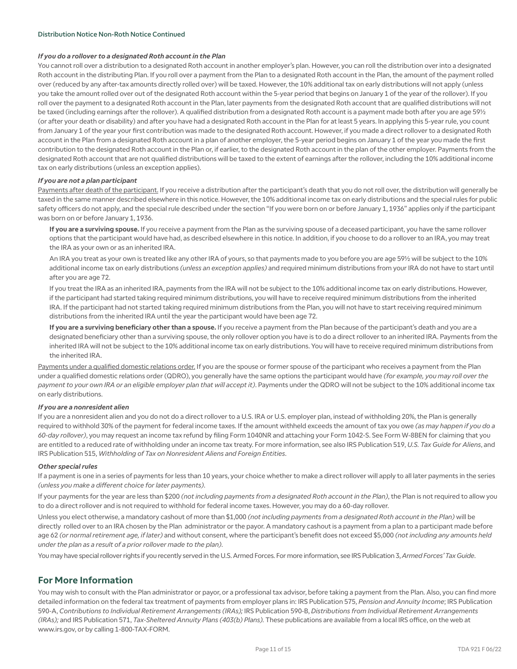#### Distribution Notice Non-Roth Notice Continued

#### *If you do a rollover to a designated Roth account in the Plan*

You cannot roll over a distribution to a designated Roth account in another employer's plan. However, you can roll the distribution over into a designated Roth account in the distributing Plan. If you roll over a payment from the Plan to a designated Roth account in the Plan, the amount of the payment rolled over (reduced by any after-tax amounts directly rolled over) will be taxed. However, the 10% additional tax on early distributions will not apply (unless you take the amount rolled over out of the designated Roth account within the 5-year period that begins on January 1 of the year of the rollover). If you roll over the payment to a designated Roth account in the Plan, later payments from the designated Roth account that are qualified distributions will not be taxed (including earnings after the rollover). A qualified distribution from a designated Roth account is a payment made both after you are age 591/2 (or after your death or disability) and after you have had a designated Roth account in the Plan for at least 5 years. In applying this 5-year rule, you count from January 1 of the year your first contribution was made to the designated Roth account. However, if you made a direct rollover to a designated Roth account in the Plan from a designated Roth account in a plan of another employer, the 5-year period begins on January 1 of the year you made the first contribution to the designated Roth account in the Plan or, if earlier, to the designated Roth account in the plan of the other employer. Payments from the designated Roth account that are not qualified distributions will be taxed to the extent of earnings after the rollover, including the 10% additional income tax on early distributions (unless an exception applies).

#### *If you are not a plan participant*

Payments after death of the participant. If you receive a distribution after the participant's death that you do not roll over, the distribution will generally be taxed in the same manner described elsewhere in this notice. However, the 10% additional income tax on early distributions and the special rules for public safety officers do not apply, and the special rule described under the section "If you were born on or before January 1, 1936" applies only if the participant was born on or before January 1, 1936.

**If you are a surviving spouse.** If you receive a payment from the Plan as the surviving spouse of a deceased participant, you have the same rollover options that the participant would have had, as described elsewhere in this notice. In addition, if you choose to do a rollover to an IRA, you may treat the IRA as your own or as an inherited IRA.

An IRA you treat as your own is treated like any other IRA of yours, so that payments made to you before you are age 59½ will be subject to the 10% additional income tax on early distributions *(unless an exception applies)* and required minimum distributions from your IRA do not have to start until after you are age 72.

If you treat the IRA as an inherited IRA, payments from the IRA will not be subject to the 10% additional income tax on early distributions. However, if the participant had started taking required minimum distributions, you will have to receive required minimum distributions from the inherited IRA. If the participant had not started taking required minimum distributions from the Plan, you will not have to start receiving required minimum distributions from the inherited IRA until the year the participant would have been age 72.

**If you are a surviving beneficiary other than a spouse.** If you receive a payment from the Plan because of the participant's death and you are a designated beneficiary other than a surviving spouse, the only rollover option you have is to do a direct rollover to an inherited IRA. Payments from the inherited IRA will not be subject to the 10% additional income tax on early distributions. You will have to receive required minimum distributions from the inherited IRA.

Payments under a qualified domestic relations order. If you are the spouse or former spouse of the participant who receives a payment from the Plan under a qualified domestic relations order (QDRO), you generally have the same options the participant would have *(for example, you may roll over the payment to your own IRA or an eligible employer plan that will accept it)*. Payments under the QDRO will not be subject to the 10% additional income tax on early distributions.

#### *If you are a nonresident alien*

If you are a nonresident alien and you do not do a direct rollover to a U.S. IRA or U.S. employer plan, instead of withholding 20%, the Plan is generally required to withhold 30% of the payment for federal income taxes. If the amount withheld exceeds the amount of tax you owe *(as may happen if you do a 60-day rollover)*, you may request an income tax refund by filing Form 1040NR and attaching your Form 1042-S. See Form W-8BEN for claiming that you are entitled to a reduced rate of withholding under an income tax treaty. For more information, see also IRS Publication 519, *U.S. Tax Guide for Aliens*, and IRS Publication 515, *Withholding of Tax on Nonresident Aliens and Foreign Entities*.

#### *Other special rules*

If a payment is one in a series of payments for less than 10 years, your choice whether to make a direct rollover will apply to all later payments in the series *(unless you make a different choice for later payments)*.

If your payments for the year are less than \$200 *(not including payments from a designated Roth account in the Plan)*, the Plan is not required to allow you to do a direct rollover and is not required to withhold for federal income taxes. However, you may do a 60-day rollover.

Unless you elect otherwise, a mandatory cashout of more than \$1,000 *(not including payments from a designated Roth account in the Plan)* will be directly rolled over to an IRA chosen by the Plan administrator or the payor. A mandatory cashout is a payment from a plan to a participant made before age 62 *(or normal retirement age, if later)* and without consent, where the participant's benefit does not exceed \$5,000 *(not including any amounts held under the plan as a result of a prior rollover made to the plan)*.

You may have special rollover rights if you recently served in the U.S. Armed Forces. For more information, see IRS Publication 3, *Armed Forces' Tax Guide*.

#### **For More Information**

You may wish to consult with the Plan administrator or payor, or a professional tax advisor, before taking a payment from the Plan. Also, you can find more detailed information on the federal tax treatment of payments from employer plans in: IRS Publication 575, *Pension and Annuity Income*; IRS Publication 590-A, *Contributions to Individual Retirement Arrangements (IRAs);* IRS Publication 590-B, *Distributions from Individual Retirement Arrangements (IRAs);* and IRS Publication 571, *Tax-Sheltered Annuity Plans (403(b) Plans).* These publications are available from a local IRS office, on the web at www.irs.gov, or by calling 1-800-TAX-FORM.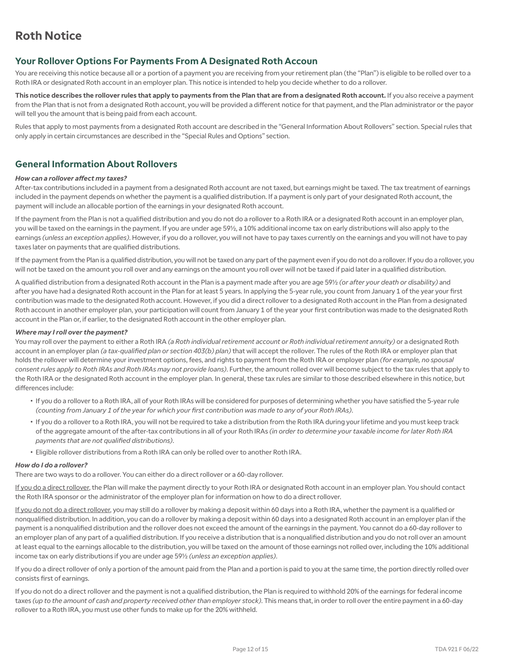## **Your Rollover Options For Payments From A Designated Roth Accoun**

You are receiving this notice because all or a portion of a payment you are receiving from your retirement plan (the "Plan") is eligible to be rolled over to a Roth IRA or designated Roth account in an employer plan. This notice is intended to help you decide whether to do a rollover.

**This notice describes the rollover rules that apply to payments from the Plan that are from a designated Roth account.** If you also receive a payment from the Plan that is not from a designated Roth account, you will be provided a different notice for that payment, and the Plan administrator or the payor will tell you the amount that is being paid from each account.

Rules that apply to most payments from a designated Roth account are described in the "General Information About Rollovers" section. Special rules that only apply in certain circumstances are described in the "Special Rules and Options" section.

#### **General Information About Rollovers**

#### *How can a rollover affect my taxes?*

After-tax contributions included in a payment from a designated Roth account are not taxed, but earnings might be taxed. The tax treatment of earnings included in the payment depends on whether the payment is a qualified distribution. If a payment is only part of your designated Roth account, the payment will include an allocable portion of the earnings in your designated Roth account.

If the payment from the Plan is not a qualified distribution and you do not do a rollover to a Roth IRA or a designated Roth account in an employer plan, you will be taxed on the earnings in the payment. If you are under age 59½, a 10% additional income tax on early distributions will also apply to the earnings *(unless an exception applies)*. However, if you do a rollover, you will not have to pay taxes currently on the earnings and you will not have to pay taxes later on payments that are qualified distributions.

If the payment from the Plan is a qualified distribution, you will not be taxed on any part of the payment even if you do not do a rollover. If you do a rollover, you will not be taxed on the amount you roll over and any earnings on the amount you roll over will not be taxed if paid later in a qualified distribution.

A qualified distribution from a designated Roth account in the Plan is a payment made after you are age 59½ *(or after your death or disability)* and after you have had a designated Roth account in the Plan for at least 5 years. In applying the 5-year rule, you count from January 1 of the year your first contribution was made to the designated Roth account. However, if you did a direct rollover to a designated Roth account in the Plan from a designated Roth account in another employer plan, your participation will count from January 1 of the year your first contribution was made to the designated Roth account in the Plan or, if earlier, to the designated Roth account in the other employer plan.

#### *Where may I roll over the payment?*

You may roll over the payment to either a Roth IRA *(a Roth individual retirement account or Roth individual retirement annuity)* or a designated Roth account in an employer plan *(a tax-qualified plan or section 403(b) plan)* that will accept the rollover. The rules of the Roth IRA or employer plan that holds the rollover will determine your investment options, fees, and rights to payment from the Roth IRA or employer plan *(for example, no spousal consent rules apply to Roth IRAs and Roth IRAs may not provide loans)*. Further, the amount rolled over will become subject to the tax rules that apply to the Roth IRA or the designated Roth account in the employer plan. In general, these tax rules are similar to those described elsewhere in this notice, but differences include:

- If you do a rollover to a Roth IRA, all of your Roth IRAs will be considered for purposes of determining whether you have satisfied the 5-year rule *(counting from January 1 of the year for which your first contribution was made to any of your Roth IRAs)*.
- If you do a rollover to a Roth IRA, you will not be required to take a distribution from the Roth IRA during your lifetime and you must keep track of the aggregate amount of the after-tax contributions in all of your Roth IRAs *(in order to determine your taxable income for later Roth IRA payments that are not qualified distributions)*.
- Eligible rollover distributions from a Roth IRA can only be rolled over to another Roth IRA.

#### *How do I do a rollover?*

There are two ways to do a rollover. You can either do a direct rollover or a 60-day rollover.

If you do a direct rollover, the Plan will make the payment directly to your Roth IRA or designated Roth account in an employer plan. You should contact the Roth IRA sponsor or the administrator of the employer plan for information on how to do a direct rollover.

If you do not do a direct rollover, you may still do a rollover by making a deposit within 60 days into a Roth IRA, whether the payment is a qualified or nonqualified distribution. In addition, you can do a rollover by making a deposit within 60 days into a designated Roth account in an employer plan if the payment is a nonqualified distribution and the rollover does not exceed the amount of the earnings in the payment. You cannot do a 60-day rollover to an employer plan of any part of a qualified distribution. If you receive a distribution that is a nonqualified distribution and you do not roll over an amount at least equal to the earnings allocable to the distribution, you will be taxed on the amount of those earnings not rolled over, including the 10% additional income tax on early distributions if you are under age 59½ *(unless an exception applies)*.

If you do a direct rollover of only a portion of the amount paid from the Plan and a portion is paid to you at the same time, the portion directly rolled over consists first of earnings.

If you do not do a direct rollover and the payment is not a qualified distribution, the Plan is required to withhold 20% of the earnings for federal income taxes *(up to the amount of cash and property received other than employer stock)*. This means that, in order to roll over the entire payment in a 60-day rollover to a Roth IRA, you must use other funds to make up for the 20% withheld.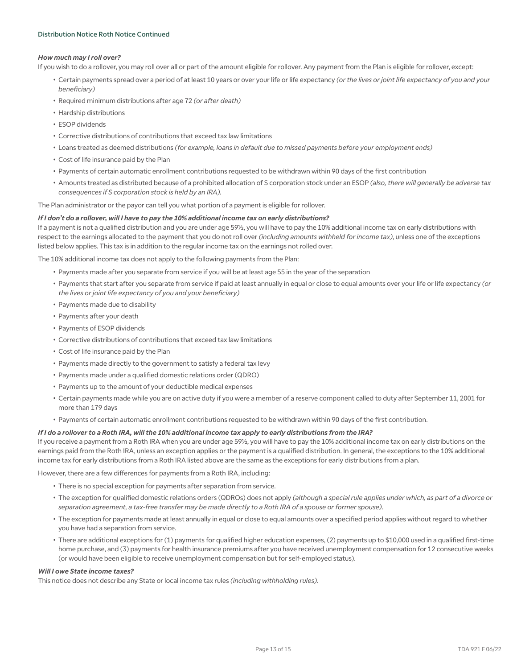#### Distribution Notice Roth Notice Continued

#### *How much may I roll over?*

If you wish to do a rollover, you may roll over all or part of the amount eligible for rollover. Any payment from the Plan is eligible for rollover, except:

- Certain payments spread over a period of at least 10 years or over your life or life expectancy *(or the lives or joint life expectancy of you and your beneficiary)*
- Required minimum distributions after age 72 *(or after death)*
- Hardship distributions
- ESOP dividends
- Corrective distributions of contributions that exceed tax law limitations
- Loans treated as deemed distributions *(for example, loans in default due to missed payments before your employment ends)*
- Cost of life insurance paid by the Plan
- Payments of certain automatic enrollment contributions requested to be withdrawn within 90 days of the first contribution
- Amounts treated as distributed because of a prohibited allocation of S corporation stock under an ESOP *(also, there will generally be adverse tax consequences if S corporation stock is held by an IRA).*

The Plan administrator or the payor can tell you what portion of a payment is eligible for rollover.

#### *If I don't do a rollover, will I have to pay the 10% additional income tax on early distributions?*

If a payment is not a qualified distribution and you are under age 59½, you will have to pay the 10% additional income tax on early distributions with respect to the earnings allocated to the payment that you do not roll over *(including amounts withheld for income tax)*, unless one of the exceptions listed below applies. This tax is in addition to the regular income tax on the earnings not rolled over.

The 10% additional income tax does not apply to the following payments from the Plan:

- Payments made after you separate from service if you will be at least age 55 in the year of the separation
- Payments that start after you separate from service if paid at least annually in equal or close to equal amounts over your life or life expectancy *(or the lives or joint life expectancy of you and your beneficiary)*
- Payments made due to disability
- Payments after your death
- Payments of ESOP dividends
- Corrective distributions of contributions that exceed tax law limitations
- Cost of life insurance paid by the Plan
- Payments made directly to the government to satisfy a federal tax levy
- Payments made under a qualified domestic relations order (QDRO)
- Payments up to the amount of your deductible medical expenses
- Certain payments made while you are on active duty if you were a member of a reserve component called to duty after September 11, 2001 for more than 179 days
- Payments of certain automatic enrollment contributions requested to be withdrawn within 90 days of the first contribution.

#### *If I do a rollover to a Roth IRA, will the 10% additional income tax apply to early distributions from the IRA?*

If you receive a payment from a Roth IRA when you are under age 59½, you will have to pay the 10% additional income tax on early distributions on the earnings paid from the Roth IRA, unless an exception applies or the payment is a qualified distribution. In general, the exceptions to the 10% additional income tax for early distributions from a Roth IRA listed above are the same as the exceptions for early distributions from a plan.

However, there are a few differences for payments from a Roth IRA, including:

- There is no special exception for payments after separation from service.
- The exception for qualified domestic relations orders (QDROs) does not apply *(although a special rule applies under which, as part of a divorce or separation agreement, a tax-free transfer may be made directly to a Roth IRA of a spouse or former spouse)*.
- The exception for payments made at least annually in equal or close to equal amounts over a specified period applies without regard to whether you have had a separation from service.
- There are additional exceptions for (1) payments for qualified higher education expenses, (2) payments up to \$10,000 used in a qualified first-time home purchase, and (3) payments for health insurance premiums after you have received unemployment compensation for 12 consecutive weeks (or would have been eligible to receive unemployment compensation but for self-employed status).

#### *Will I owe State income taxes?*

This notice does not describe any State or local income tax rules *(including withholding rules)*.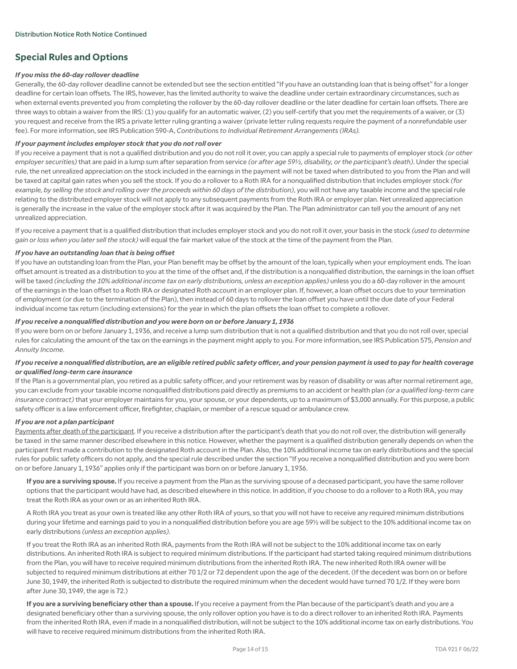## **Special Rules and Options**

#### *If you miss the 60-day rollover deadline*

Generally, the 60-day rollover deadline cannot be extended but see the section entitled "If you have an outstanding loan that is being offset" for a longer deadline for certain loan offsets. The IRS, however, has the limited authority to waive the deadline under certain extraordinary circumstances, such as when external events prevented you from completing the rollover by the 60-day rollover deadline or the later deadline for certain loan offsets. There are three ways to obtain a waiver from the IRS: (1) you qualify for an automatic waiver, (2) you self-certify that you met the requirements of a waiver, or (3) you request and receive from the IRS a private letter ruling granting a waiver (private letter ruling requests require the payment of a nonrefundable user fee). For more information, see IRS Publication 590-A, *Contributions to Individual Retirement Arrangements (IRAs).*

#### *If your payment includes employer stock that you do not roll over*

If you receive a payment that is not a qualified distribution and you do not roll it over, you can apply a special rule to payments of employer stock *(or other employer securities)* that are paid in a lump sum after separation from service *(or after age 59½, disability, or the participant's death)*. Under the special rule, the net unrealized appreciation on the stock included in the earnings in the payment will not be taxed when distributed to you from the Plan and will be taxed at capital gain rates when you sell the stock. If you do a rollover to a Roth IRA for a nonqualified distribution that includes employer stock *(for example, by selling the stock and rolling over the proceeds within 60 days of the distribution)*, you will not have any taxable income and the special rule relating to the distributed employer stock will not apply to any subsequent payments from the Roth IRA or employer plan. Net unrealized appreciation is generally the increase in the value of the employer stock after it was acquired by the Plan. The Plan administrator can tell you the amount of any net unrealized appreciation.

If you receive a payment that is a qualified distribution that includes employer stock and you do not roll it over, your basis in the stock *(used to determine gain or loss when you later sell the stock)* will equal the fair market value of the stock at the time of the payment from the Plan.

#### *If you have an outstanding loan that is being offset*

If you have an outstanding loan from the Plan, your Plan benefit may be offset by the amount of the loan, typically when your employment ends. The loan offset amount is treated as a distribution to you at the time of the offset and, if the distribution is a nonqualified distribution, the earnings in the loan offset will be taxed *(including the 10% additional income tax on early distributions, unless an exception applies)* unless you do a 60-day rollover in the amount of the earnings in the loan offset to a Roth IRA or designated Roth account in an employer plan. If, however, a loan offset occurs due to your termination of employment (or due to the termination of the Plan), then instead of 60 days to rollover the loan offset you have until the due date of your Federal individual income tax return (including extensions) for the year in which the plan offsets the loan offset to complete a rollover.

#### *If you receive a nonqualified distribution and you were born on or before January 1, 1936*

If you were born on or before January 1, 1936, and receive a lump sum distribution that is not a qualified distribution and that you do not roll over, special rules for calculating the amount of the tax on the earnings in the payment might apply to you. For more information, see IRS Publication 575, *Pension and Annuity Income*.

#### *If you receive a nonqualified distribution, are an eligible retired public safety officer, and your pension payment is used to pay for health coverage or qualified long-term care insurance*

If the Plan is a governmental plan, you retired as a public safety officer, and your retirement was by reason of disability or was after normal retirement age, you can exclude from your taxable income nonqualified distributions paid directly as premiums to an accident or health plan *(or a qualified long-term care*  insurance contract) that your employer maintains for you, your spouse, or your dependents, up to a maximum of \$3,000 annually. For this purpose, a public safety officer is a law enforcement officer, firefighter, chaplain, or member of a rescue squad or ambulance crew.

#### *If you are not a plan participant*

Payments after death of the participant. If you receive a distribution after the participant's death that you do not roll over, the distribution will generally be taxed in the same manner described elsewhere in this notice. However, whether the payment is a qualified distribution generally depends on when the participant first made a contribution to the designated Roth account in the Plan. Also, the 10% additional income tax on early distributions and the special rules for public safety officers do not apply, and the special rule described under the section "If you receive a nonqualified distribution and you were born on or before January 1, 1936" applies only if the participant was born on or before January 1, 1936.

**If you are a surviving spouse.** If you receive a payment from the Plan as the surviving spouse of a deceased participant, you have the same rollover options that the participant would have had, as described elsewhere in this notice. In addition, if you choose to do a rollover to a Roth IRA, you may treat the Roth IRA as your own or as an inherited Roth IRA.

A Roth IRA you treat as your own is treated like any other Roth IRA of yours, so that you will not have to receive any required minimum distributions during your lifetime and earnings paid to you in a nonqualified distribution before you are age 59½ will be subject to the 10% additional income tax on early distributions *(unless an exception applies)*.

If you treat the Roth IRA as an inherited Roth IRA, payments from the Roth IRA will not be subject to the 10% additional income tax on early distributions. An inherited Roth IRA is subject to required minimum distributions. If the participant had started taking required minimum distributions from the Plan, you will have to receive required minimum distributions from the inherited Roth IRA. The new inherited Roth IRA owner will be subjected to required minimum distributions at either 70 1/2 or 72 dependent upon the age of the decedent. (If the decedent was born on or before June 30, 1949, the inherited Roth is subjected to distribute the required minimum when the decedent would have turned 70 1/2. If they were born after June 30, 1949, the age is 72.)

**If you are a surviving beneficiary other than a spouse.** If you receive a payment from the Plan because of the participant's death and you are a designated beneficiary other than a surviving spouse, the only rollover option you have is to do a direct rollover to an inherited Roth IRA. Payments from the inherited Roth IRA, even if made in a nonqualified distribution, will not be subject to the 10% additional income tax on early distributions. You will have to receive required minimum distributions from the inherited Roth IRA.